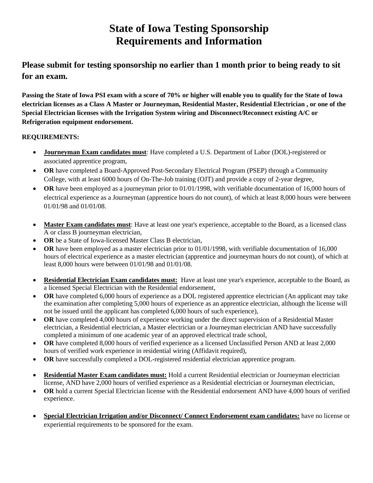# **State of Iowa Testing Sponsorship Requirements and Information**

**Please submit for testing sponsorship no earlier than 1 month prior to being ready to sit for an exam.**

**Passing the State of Iowa PSI exam with a score of 70% or higher will enable you to qualify for the State of Iowa electrician licenses as a Class A Master or Journeyman, Residential Master, Residential Electrician , or one of the Special Electrician licenses with the Irrigation System wiring and Disconnect/Reconnect existing A/C or Refrigeration equipment endorsement.**

## **REQUIREMENTS:**

- **Journeyman Exam candidates must**: Have completed a U.S. Department of Labor (DOL)-registered or associated apprentice program,
- **OR** have completed a Board-Approved Post-Secondary Electrical Program (PSEP) through a Community College, with at least 6000 hours of On-The-Job training (OJT) and provide a copy of 2-year degree,
- OR have been employed as a journeyman prior to 01/01/1998, with verifiable documentation of 16,000 hours of electrical experience as a Journeyman (apprentice hours do not count), of which at least 8,000 hours were between 01/01/98 and 01/01/08.
- **Master Exam candidates must**: Have at least one year's experience, acceptable to the Board, as a licensed class A or class B journeyman electrician,
- OR be a State of Iowa-licensed Master Class B electrician,
- **OR** have been employed as a master electrician prior to 01/01/1998, with verifiable documentation of 16,000 hours of electrical experience as a master electrician (apprentice and journeyman hours do not count), of which at least 8,000 hours were between 01/01/98 and 01/01/08.
- **Residential Electrician Exam candidates must:** Have at least one year's experience, acceptable to the Board, as a licensed Special Electrician with the Residential endorsement,
- **OR** have completed 6,000 hours of experience as a DOL registered apprentice electrician (An applicant may take the examination after completing 5,000 hours of experience as an apprentice electrician, although the license will not be issued until the applicant has completed 6,000 hours of such experience),
- OR have completed 4,000 hours of experience working under the direct supervision of a Residential Master electrician, a Residential electrician, a Master electrician or a Journeyman electrician AND have successfully completed a minimum of one academic year of an approved electrical trade school,
- **OR** have completed 8,000 hours of verified experience as a licensed Unclassified Person AND at least 2,000 hours of verified work experience in residential wiring (Affidavit required),
- **OR** have successfully completed a DOL-registered residential electrician apprentice program.
- **Residential Master Exam candidates must:** Hold a current Residential electrician or Journeyman electrician license, AND have 2,000 hours of verified experience as a Residential electrician or Journeyman electrician,
- **OR** hold a current Special Electrician license with the Residential endorsement AND have 4,000 hours of verified experience.
- **Special Electrician Irrigation and/or Disconnect/ Connect Endorsement exam candidates:** have no license or experiential requirements to be sponsored for the exam.